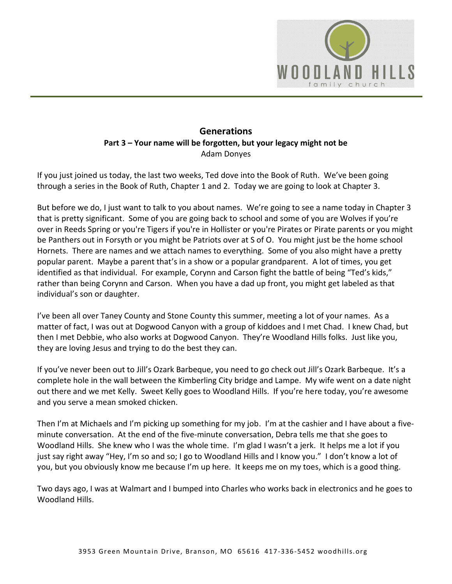

### **Generations Part 3 – Your name will be forgotten, but your legacy might not be**  Adam Donyes

If you just joined us today, the last two weeks, Ted dove into the Book of Ruth. We've been going through a series in the Book of Ruth, Chapter 1 and 2. Today we are going to look at Chapter 3.

But before we do, I just want to talk to you about names. We're going to see a name today in Chapter 3 that is pretty significant. Some of you are going back to school and some of you are Wolves if you're over in Reeds Spring or you're Tigers if you're in Hollister or you're Pirates or Pirate parents or you might be Panthers out in Forsyth or you might be Patriots over at S of O. You might just be the home school Hornets. There are names and we attach names to everything. Some of you also might have a pretty popular parent. Maybe a parent that's in a show or a popular grandparent. A lot of times, you get identified as that individual. For example, Corynn and Carson fight the battle of being "Ted's kids," rather than being Corynn and Carson. When you have a dad up front, you might get labeled as that individual's son or daughter.

I've been all over Taney County and Stone County this summer, meeting a lot of your names. As a matter of fact, I was out at Dogwood Canyon with a group of kiddoes and I met Chad. I knew Chad, but then I met Debbie, who also works at Dogwood Canyon. They're Woodland Hills folks. Just like you, they are loving Jesus and trying to do the best they can.

If you've never been out to Jill's Ozark Barbeque, you need to go check out Jill's Ozark Barbeque. It's a complete hole in the wall between the Kimberling City bridge and Lampe. My wife went on a date night out there and we met Kelly. Sweet Kelly goes to Woodland Hills. If you're here today, you're awesome and you serve a mean smoked chicken.

Then I'm at Michaels and I'm picking up something for my job. I'm at the cashier and I have about a fiveminute conversation. At the end of the five-minute conversation, Debra tells me that she goes to Woodland Hills. She knew who I was the whole time. I'm glad I wasn't a jerk. It helps me a lot if you just say right away "Hey, I'm so and so; I go to Woodland Hills and I know you." I don't know a lot of you, but you obviously know me because I'm up here. It keeps me on my toes, which is a good thing.

Two days ago, I was at Walmart and I bumped into Charles who works back in electronics and he goes to Woodland Hills.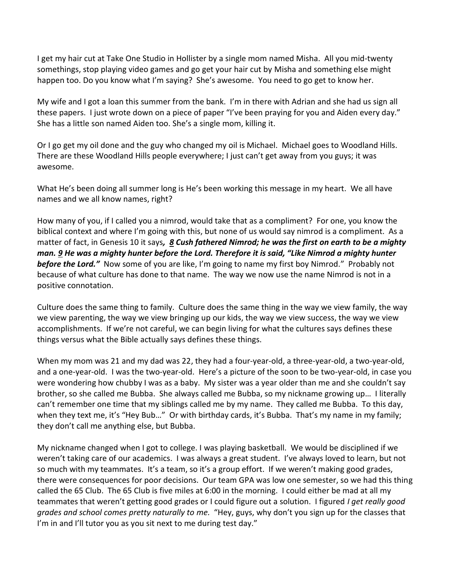I get my hair cut at Take One Studio in Hollister by a single mom named Misha. All you mid-twenty somethings, stop playing video games and go get your hair cut by Misha and something else might happen too. Do you know what I'm saying? She's awesome. You need to go get to know her.

My wife and I got a loan this summer from the bank. I'm in there with Adrian and she had us sign all these papers. I just wrote down on a piece of paper "I've been praying for you and Aiden every day." She has a little son named Aiden too. She's a single mom, killing it.

Or I go get my oil done and the guy who changed my oil is Michael. Michael goes to Woodland Hills. There are these Woodland Hills people everywhere; I just can't get away from you guys; it was awesome.

What He's been doing all summer long is He's been working this message in my heart. We all have names and we all know names, right?

How many of you, if I called you a nimrod, would take that as a compliment? For one, you know the biblical context and where I'm going with this, but none of us would say nimrod is a compliment. As a matter of fact, in Genesis 10 it says*, [8](https://www.studylight.org/desk/?q=ge%2010:8&t1=en_esv&sr=1) Cush fathered Nimrod; he was the first on earth to be a mighty man. [9](https://www.studylight.org/desk/?q=ge%2010:9&t1=en_esv&sr=1) He was a mighty hunter before the Lord. Therefore it is said, "Like Nimrod a mighty hunter*  **before the Lord."** Now some of you are like, I'm going to name my first boy Nimrod." Probably not because of what culture has done to that name. The way we now use the name Nimrod is not in a positive connotation.

Culture does the same thing to family. Culture does the same thing in the way we view family, the way we view parenting, the way we view bringing up our kids, the way we view success, the way we view accomplishments. If we're not careful, we can begin living for what the cultures says defines these things versus what the Bible actually says defines these things.

When my mom was 21 and my dad was 22, they had a four-year-old, a three-year-old, a two-year-old, and a one-year-old. I was the two-year-old. Here's a picture of the soon to be two-year-old, in case you were wondering how chubby I was as a baby. My sister was a year older than me and she couldn't say brother, so she called me Bubba. She always called me Bubba, so my nickname growing up… I literally can't remember one time that my siblings called me by my name. They called me Bubba. To this day, when they text me, it's "Hey Bub..." Or with birthday cards, it's Bubba. That's my name in my family; they don't call me anything else, but Bubba.

My nickname changed when I got to college. I was playing basketball. We would be disciplined if we weren't taking care of our academics. I was always a great student. I've always loved to learn, but not so much with my teammates. It's a team, so it's a group effort. If we weren't making good grades, there were consequences for poor decisions. Our team GPA was low one semester, so we had this thing called the 65 Club. The 65 Club is five miles at 6:00 in the morning. I could either be mad at all my teammates that weren't getting good grades or I could figure out a solution. I figured *I get really good grades and school comes pretty naturally to me.* "Hey, guys, why don't you sign up for the classes that I'm in and I'll tutor you as you sit next to me during test day."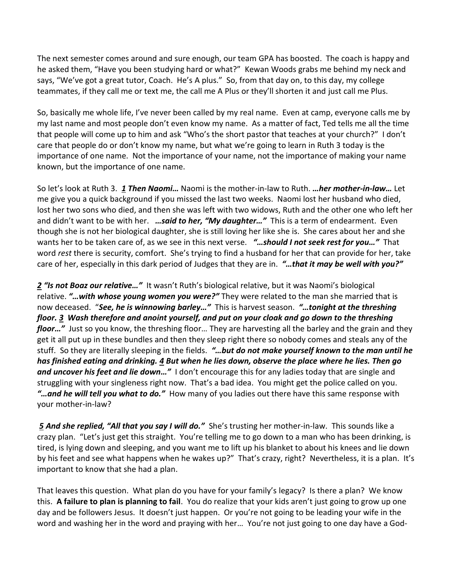The next semester comes around and sure enough, our team GPA has boosted. The coach is happy and he asked them, "Have you been studying hard or what?" Kewan Woods grabs me behind my neck and says, "We've got a great tutor, Coach. He's A plus." So, from that day on, to this day, my college teammates, if they call me or text me, the call me A Plus or they'll shorten it and just call me Plus.

So, basically me whole life, I've never been called by my real name. Even at camp, everyone calls me by my last name and most people don't even know my name. As a matter of fact, Ted tells me all the time that people will come up to him and ask "Who's the short pastor that teaches at your church?" I don't care that people do or don't know my name, but what we're going to learn in Ruth 3 today is the importance of one name. Not the importance of your name, not the importance of making your name known, but the importance of one name.

So let's look at Ruth 3. *[1](https://www.studylight.org/desk/?q=ru%203:1&t1=en_esv&sr=1) Then Naomi…* Naomi is the mother-in-law to Ruth. *…her mother-in-law…* Let me give you a quick background if you missed the last two weeks. Naomi lost her husband who died, lost her two sons who died, and then she was left with two widows, Ruth and the other one who left her and didn't want to be with her. *…said to her, "My daughter…"* This is a term of endearment. Even though she is not her biological daughter, she is still loving her like she is. She cares about her and she wants her to be taken care of, as we see in this next verse. *"…should I not seek rest for you…"* That word *rest* there is security, comfort. She's trying to find a husband for her that can provide for her, take care of her, especially in this dark period of Judges that they are in. *"…that it may be well with you?"* 

*[2](https://www.studylight.org/desk/?q=ru%203:2&t1=en_esv&sr=1) "Is not Boaz our relative…"* It wasn't Ruth's biological relative, but it was Naomi's biological relative. *"…with whose young women you were?"* They were related to the man she married that is now deceased. "*See, he is winnowing barley…"* This is harvest season. *"…tonight at the threshing floor. [3](https://www.studylight.org/desk/?q=ru%203:3&t1=en_esv&sr=1) Wash therefore and anoint yourself, and put on your cloak and go down to the threshing floor…"* Just so you know, the threshing floor… They are harvesting all the barley and the grain and they get it all put up in these bundles and then they sleep right there so nobody comes and steals any of the stuff. So they are literally sleeping in the fields. *"…but do not make yourself known to the man until he has finished eating and drinking. [4](https://www.studylight.org/desk/?q=ru%203:4&t1=en_esv&sr=1) But when he lies down, observe the place where he lies. Then go and uncover his feet and lie down…"* I don't encourage this for any ladies today that are single and struggling with your singleness right now. That's a bad idea. You might get the police called on you. *"…and he will tell you what to do."* How many of you ladies out there have this same response with your mother-in-law?

 *[5](https://www.studylight.org/desk/?q=ru%203:5&t1=en_esv&sr=1) And she replied, "All that you say I will do."* She's trusting her mother-in-law. This sounds like a crazy plan. "Let's just get this straight. You're telling me to go down to a man who has been drinking, is tired, is lying down and sleeping, and you want me to lift up his blanket to about his knees and lie down by his feet and see what happens when he wakes up?" That's crazy, right? Nevertheless, it is a plan. It's important to know that she had a plan.

That leaves this question. What plan do you have for your family's legacy? Is there a plan? We know this. **A failure to plan is planning to fail**. You do realize that your kids aren't just going to grow up one day and be followers Jesus. It doesn't just happen. Or you're not going to be leading your wife in the word and washing her in the word and praying with her… You're not just going to one day have a God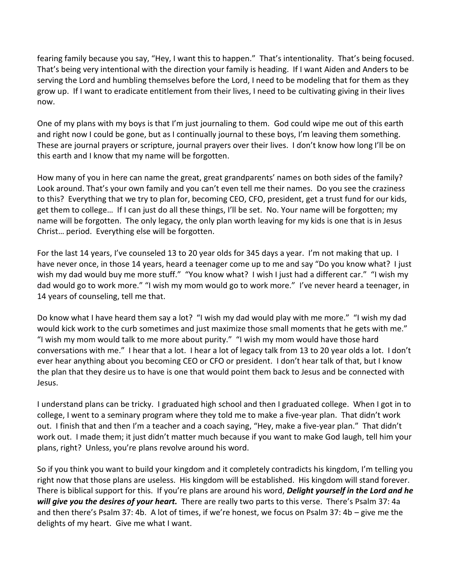fearing family because you say, "Hey, I want this to happen." That's intentionality. That's being focused. That's being very intentional with the direction your family is heading. If I want Aiden and Anders to be serving the Lord and humbling themselves before the Lord, I need to be modeling that for them as they grow up. If I want to eradicate entitlement from their lives, I need to be cultivating giving in their lives now.

One of my plans with my boys is that I'm just journaling to them. God could wipe me out of this earth and right now I could be gone, but as I continually journal to these boys, I'm leaving them something. These are journal prayers or scripture, journal prayers over their lives. I don't know how long I'll be on this earth and I know that my name will be forgotten.

How many of you in here can name the great, great grandparents' names on both sides of the family? Look around. That's your own family and you can't even tell me their names. Do you see the craziness to this? Everything that we try to plan for, becoming CEO, CFO, president, get a trust fund for our kids, get them to college… If I can just do all these things, I'll be set. No. Your name will be forgotten; my name will be forgotten. The only legacy, the only plan worth leaving for my kids is one that is in Jesus Christ… period. Everything else will be forgotten.

For the last 14 years, I've counseled 13 to 20 year olds for 345 days a year. I'm not making that up. I have never once, in those 14 years, heard a teenager come up to me and say "Do you know what? I just wish my dad would buy me more stuff." "You know what? I wish I just had a different car." "I wish my dad would go to work more." "I wish my mom would go to work more." I've never heard a teenager, in 14 years of counseling, tell me that.

Do know what I have heard them say a lot? "I wish my dad would play with me more." "I wish my dad would kick work to the curb sometimes and just maximize those small moments that he gets with me." "I wish my mom would talk to me more about purity." "I wish my mom would have those hard conversations with me." I hear that a lot. I hear a lot of legacy talk from 13 to 20 year olds a lot. I don't ever hear anything about you becoming CEO or CFO or president. I don't hear talk of that, but I know the plan that they desire us to have is one that would point them back to Jesus and be connected with Jesus.

I understand plans can be tricky. I graduated high school and then I graduated college. When I got in to college, I went to a seminary program where they told me to make a five-year plan. That didn't work out. I finish that and then I'm a teacher and a coach saying, "Hey, make a five-year plan." That didn't work out. I made them; it just didn't matter much because if you want to make God laugh, tell him your plans, right? Unless, you're plans revolve around his word.

So if you think you want to build your kingdom and it completely contradicts his kingdom, I'm telling you right now that those plans are useless. His kingdom will be established. His kingdom will stand forever. There is biblical support for this. If you're plans are around his word, *Delight yourself in the Lord and he will give you the desires of your heart.* There are really two parts to this verse. There's Psalm 37: 4a and then there's Psalm 37: 4b. A lot of times, if we're honest, we focus on Psalm 37: 4b – give me the delights of my heart. Give me what I want.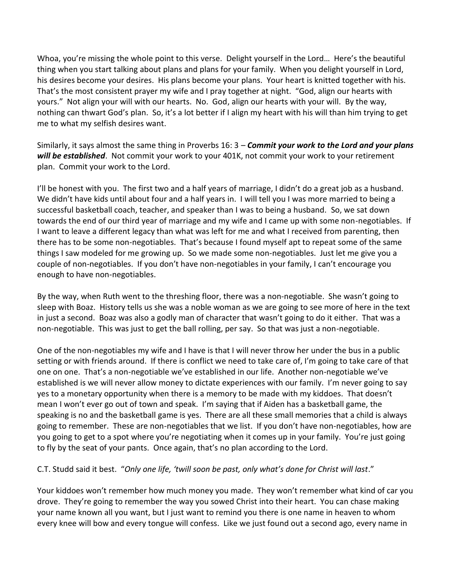Whoa, you're missing the whole point to this verse. Delight yourself in the Lord… Here's the beautiful thing when you start talking about plans and plans for your family. When you delight yourself in Lord, his desires become your desires. His plans become your plans. Your heart is knitted together with his. That's the most consistent prayer my wife and I pray together at night. "God, align our hearts with yours." Not align your will with our hearts. No. God, align our hearts with your will. By the way, nothing can thwart God's plan. So, it's a lot better if I align my heart with his will than him trying to get me to what my selfish desires want.

Similarly, it says almost the same thing in Proverbs 16: 3 – *Commit your work to the Lord and your plans will be established*. Not commit your work to your 401K, not commit your work to your retirement plan. Commit your work to the Lord.

I'll be honest with you. The first two and a half years of marriage, I didn't do a great job as a husband. We didn't have kids until about four and a half years in. I will tell you I was more married to being a successful basketball coach, teacher, and speaker than I was to being a husband. So, we sat down towards the end of our third year of marriage and my wife and I came up with some non-negotiables. If I want to leave a different legacy than what was left for me and what I received from parenting, then there has to be some non-negotiables. That's because I found myself apt to repeat some of the same things I saw modeled for me growing up. So we made some non-negotiables. Just let me give you a couple of non-negotiables. If you don't have non-negotiables in your family, I can't encourage you enough to have non-negotiables.

By the way, when Ruth went to the threshing floor, there was a non-negotiable. She wasn't going to sleep with Boaz. History tells us she was a noble woman as we are going to see more of here in the text in just a second. Boaz was also a godly man of character that wasn't going to do it either. That was a non-negotiable. This was just to get the ball rolling, per say. So that was just a non-negotiable.

One of the non-negotiables my wife and I have is that I will never throw her under the bus in a public setting or with friends around. If there is conflict we need to take care of, I'm going to take care of that one on one. That's a non-negotiable we've established in our life. Another non-negotiable we've established is we will never allow money to dictate experiences with our family. I'm never going to say yes to a monetary opportunity when there is a memory to be made with my kiddoes. That doesn't mean I won't ever go out of town and speak. I'm saying that if Aiden has a basketball game, the speaking is no and the basketball game is yes. There are all these small memories that a child is always going to remember. These are non-negotiables that we list. If you don't have non-negotiables, how are you going to get to a spot where you're negotiating when it comes up in your family. You're just going to fly by the seat of your pants. Once again, that's no plan according to the Lord.

#### C.T. Studd said it best. "*Only one life, 'twill soon be past, only what's done for Christ will last*."

Your kiddoes won't remember how much money you made. They won't remember what kind of car you drove. They're going to remember the way you sowed Christ into their heart. You can chase making your name known all you want, but I just want to remind you there is one name in heaven to whom every knee will bow and every tongue will confess. Like we just found out a second ago, every name in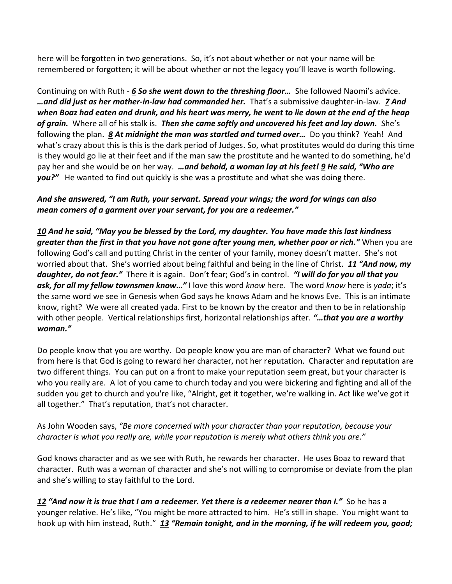here will be forgotten in two generations. So, it's not about whether or not your name will be remembered or forgotten; it will be about whether or not the legacy you'll leave is worth following.

Continuing on with Ruth - *[6](https://www.studylight.org/desk/?q=ru%203:6&t1=en_esv&sr=1) So she went down to the threshing floor…* She followed Naomi's advice. *…and did just as her mother-in-law had commanded her.* That's a submissive daughter-in-law. *[7](https://www.studylight.org/desk/?q=ru%203:7&t1=en_esv&sr=1) And when Boaz had eaten and drunk, and his heart was merry, he went to lie down at the end of the heap of grain.* Where all of his stalk is. *Then she came softly and uncovered his feet and lay down.* She's following the plan. *[8](https://www.studylight.org/desk/?q=ru%203:8&t1=en_esv&sr=1) At midnight the man was startled and turned over…* Do you think? Yeah! And what's crazy about this is this is the dark period of Judges. So, what prostitutes would do during this time is they would go lie at their feet and if the man saw the prostitute and he wanted to do something, he'd pay her and she would be on her way. *…and behold, a woman lay at his feet! [9](https://www.studylight.org/desk/?q=ru%203:9&t1=en_esv&sr=1) He said, "Who are you?"* He wanted to find out quickly is she was a prostitute and what she was doing there.

### *And she answered, "I am Ruth, your servant. Spread your wings; the word for wings can also mean corners of a garment over your servant, for you are a redeemer."*

*[10](https://www.studylight.org/desk/?q=ru%203:10&t1=en_esv&sr=1) And he said, "May you be blessed by the Lord, my daughter. You have made this last kindness greater than the first in that you have not gone after young men, whether poor or rich."* When you are following God's call and putting Christ in the center of your family, money doesn't matter. She's not worried about that. She's worried about being faithful and being in the line of Christ. *[11](https://www.studylight.org/desk/?q=ru%203:11&t1=en_esv&sr=1) "And now, my daughter, do not fear."* There it is again. Don't fear; God's in control. *"I will do for you all that you ask, for all my fellow townsmen know…"* I love this word *know* here. The word *know* here is *yada*; it's the same word we see in Genesis when God says he knows Adam and he knows Eve. This is an intimate know, right? We were all created yada. First to be known by the creator and then to be in relationship with other people. Vertical relationships first, horizontal relationships after. *"…that you are a worthy woman."* 

Do people know that you are worthy. Do people know you are man of character? What we found out from here is that God is going to reward her character, not her reputation. Character and reputation are two different things. You can put on a front to make your reputation seem great, but your character is who you really are. A lot of you came to church today and you were bickering and fighting and all of the sudden you get to church and you're like, "Alright, get it together, we're walking in. Act like we've got it all together." That's reputation, that's not character.

As John Wooden says, *"Be more concerned with your character than your reputation, because your character is what you really are, while your reputation is merely what others think you are."*

God knows character and as we see with Ruth, he rewards her character. He uses Boaz to reward that character. Ruth was a woman of character and she's not willing to compromise or deviate from the plan and she's willing to stay faithful to the Lord.

*[12](https://www.studylight.org/desk/?q=ru%203:12&t1=en_esv&sr=1) "And now it is true that I am a redeemer. Yet there is a redeemer nearer than I."* So he has a younger relative. He's like, "You might be more attracted to him. He's still in shape. You might want to hook up with him instead, Ruth." *[13](https://www.studylight.org/desk/?q=ru%203:13&t1=en_esv&sr=1) "Remain tonight, and in the morning, if he will redeem you, good;*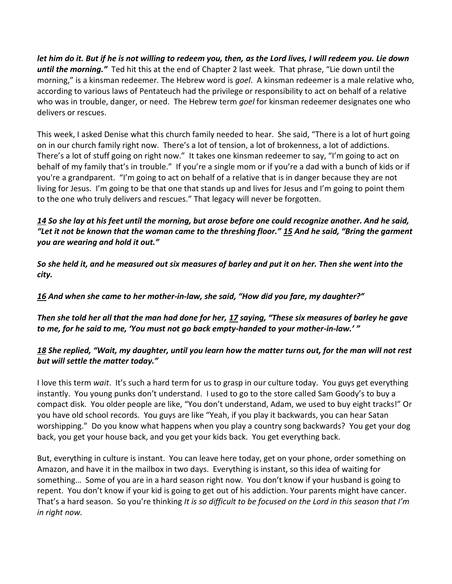*let him do it. But if he is not willing to redeem you, then, as the Lord lives, I will redeem you. Lie down until the morning."* Ted hit this at the end of Chapter 2 last week. That phrase, "Lie down until the morning," is a kinsman redeemer. The Hebrew word is *goel*. A kinsman redeemer is a male relative who, according to various laws of Pentateuch had the privilege or responsibility to act on behalf of a relative who was in trouble, danger, or need. The Hebrew term *goel* for kinsman redeemer designates one who delivers or rescues.

This week, I asked Denise what this church family needed to hear. She said, "There is a lot of hurt going on in our church family right now. There's a lot of tension, a lot of brokenness, a lot of addictions. There's a lot of stuff going on right now." It takes one kinsman redeemer to say, "I'm going to act on behalf of my family that's in trouble." If you're a single mom or if you're a dad with a bunch of kids or if you're a grandparent. "I'm going to act on behalf of a relative that is in danger because they are not living for Jesus. I'm going to be that one that stands up and lives for Jesus and I'm going to point them to the one who truly delivers and rescues." That legacy will never be forgotten.

### *[14](https://www.studylight.org/desk/?q=ru%203:14&t1=en_esv&sr=1) So she lay at his feet until the morning, but arose before one could recognize another. And he said, "Let it not be known that the woman came to the threshing floor." [15](https://www.studylight.org/desk/?q=ru%203:15&t1=en_esv&sr=1) And he said, "Bring the garment you are wearing and hold it out."*

*So she held it, and he measured out six measures of barley and put it on her. Then she went into the city.* 

*[16](https://www.studylight.org/desk/?q=ru%203:16&t1=en_esv&sr=1) And when she came to her mother-in-law, she said, "How did you fare, my daughter?"* 

*Then she told her all that the man had done for her, [17](https://www.studylight.org/desk/?q=ru%203:17&t1=en_esv&sr=1) saying, "These six measures of barley he gave to me, for he said to me, 'You must not go back empty-handed to your mother-in-law.' "* 

# *[18](https://www.studylight.org/desk/?q=ru%203:18&t1=en_esv&sr=1) She replied, "Wait, my daughter, until you learn how the matter turns out, for the man will not rest but will settle the matter today."*

I love this term *wait*. It's such a hard term for us to grasp in our culture today. You guys get everything instantly. You young punks don't understand. I used to go to the store called Sam Goody's to buy a compact disk. You older people are like, "You don't understand, Adam, we used to buy eight tracks!" Or you have old school records. You guys are like "Yeah, if you play it backwards, you can hear Satan worshipping." Do you know what happens when you play a country song backwards? You get your dog back, you get your house back, and you get your kids back. You get everything back.

But, everything in culture is instant. You can leave here today, get on your phone, order something on Amazon, and have it in the mailbox in two days. Everything is instant, so this idea of waiting for something… Some of you are in a hard season right now. You don't know if your husband is going to repent. You don't know if your kid is going to get out of his addiction. Your parents might have cancer. That's a hard season. So you're thinking *It is so difficult to be focused on the Lord in this season that I'm in right now.*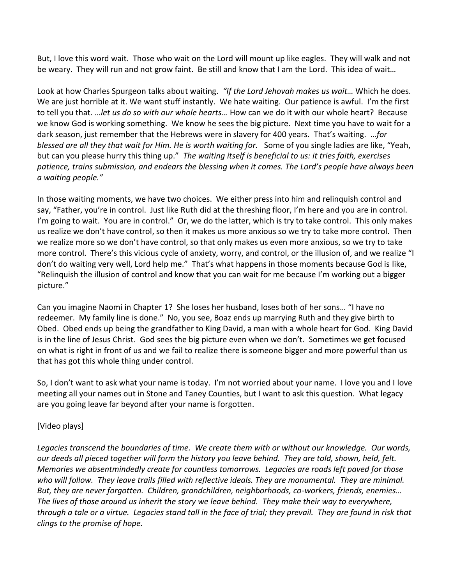But, I love this word wait. Those who wait on the Lord will mount up like eagles. They will walk and not be weary. They will run and not grow faint. Be still and know that I am the Lord. This idea of wait…

Look at how Charles Spurgeon talks about waiting. *"If the Lord Jehovah makes us wait…* Which he does. We are just horrible at it. We want stuff instantly. We hate waiting. Our patience is awful. I'm the first to tell you that. …*let us do so with our whole hearts…* How can we do it with our whole heart? Because we know God is working something. We know he sees the big picture. Next time you have to wait for a dark season, just remember that the Hebrews were in slavery for 400 years. That's waiting. *…for blessed are all they that wait for Him. He is worth waiting for.* Some of you single ladies are like, "Yeah, but can you please hurry this thing up." *The waiting itself is beneficial to us: it tries faith, exercises patience, trains submission, and endears the blessing when it comes. The Lord's people have always been a waiting people."*

In those waiting moments, we have two choices. We either press into him and relinquish control and say, "Father, you're in control. Just like Ruth did at the threshing floor, I'm here and you are in control. I'm going to wait. You are in control." Or, we do the latter, which is try to take control. This only makes us realize we don't have control, so then it makes us more anxious so we try to take more control. Then we realize more so we don't have control, so that only makes us even more anxious, so we try to take more control. There's this vicious cycle of anxiety, worry, and control, or the illusion of, and we realize "I don't do waiting very well, Lord help me." That's what happens in those moments because God is like, "Relinquish the illusion of control and know that you can wait for me because I'm working out a bigger picture."

Can you imagine Naomi in Chapter 1? She loses her husband, loses both of her sons… "I have no redeemer. My family line is done." No, you see, Boaz ends up marrying Ruth and they give birth to Obed. Obed ends up being the grandfather to King David, a man with a whole heart for God. King David is in the line of Jesus Christ. God sees the big picture even when we don't. Sometimes we get focused on what is right in front of us and we fail to realize there is someone bigger and more powerful than us that has got this whole thing under control.

So, I don't want to ask what your name is today. I'm not worried about your name. I love you and I love meeting all your names out in Stone and Taney Counties, but I want to ask this question. What legacy are you going leave far beyond after your name is forgotten.

# [Video plays]

*Legacies transcend the boundaries of time. We create them with or without our knowledge. Our words, our deeds all pieced together will form the history you leave behind. They are told, shown, held, felt. Memories we absentmindedly create for countless tomorrows. Legacies are roads left paved for those who will follow. They leave trails filled with reflective ideals. They are monumental. They are minimal. But, they are never forgotten. Children, grandchildren, neighborhoods, co-workers, friends, enemies… The lives of those around us inherit the story we leave behind. They make their way to everywhere, through a tale or a virtue. Legacies stand tall in the face of trial; they prevail. They are found in risk that clings to the promise of hope.*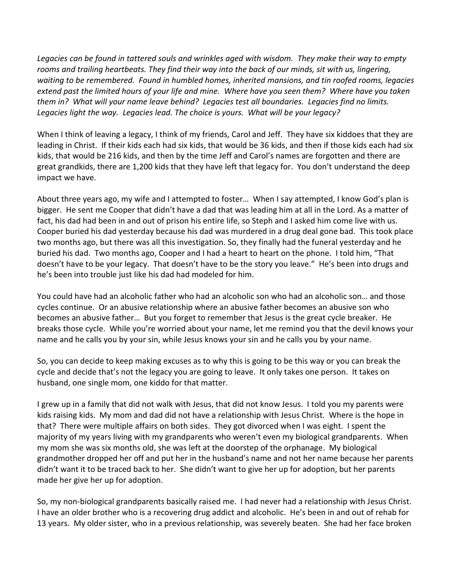*Legacies can be found in tattered souls and wrinkles aged with wisdom. They make their way to empty rooms and trailing heartbeats. They find their way into the back of our minds, sit with us, lingering, waiting to be remembered. Found in humbled homes, inherited mansions, and tin roofed rooms, legacies extend past the limited hours of your life and mine. Where have you seen them? Where have you taken them in? What will your name leave behind? Legacies test all boundaries. Legacies find no limits. Legacies light the way. Legacies lead. The choice is yours. What will be your legacy?* 

When I think of leaving a legacy, I think of my friends, Carol and Jeff. They have six kiddoes that they are leading in Christ. If their kids each had six kids, that would be 36 kids, and then if those kids each had six kids, that would be 216 kids, and then by the time Jeff and Carol's names are forgotten and there are great grandkids, there are 1,200 kids that they have left that legacy for. You don't understand the deep impact we have.

About three years ago, my wife and I attempted to foster… When I say attempted, I know God's plan is bigger. He sent me Cooper that didn't have a dad that was leading him at all in the Lord. As a matter of fact, his dad had been in and out of prison his entire life, so Steph and I asked him come live with us. Cooper buried his dad yesterday because his dad was murdered in a drug deal gone bad. This took place two months ago, but there was all this investigation. So, they finally had the funeral yesterday and he buried his dad. Two months ago, Cooper and I had a heart to heart on the phone. I told him, "That doesn't have to be your legacy. That doesn't have to be the story you leave." He's been into drugs and he's been into trouble just like his dad had modeled for him.

You could have had an alcoholic father who had an alcoholic son who had an alcoholic son… and those cycles continue. Or an abusive relationship where an abusive father becomes an abusive son who becomes an abusive father… But you forget to remember that Jesus is the great cycle breaker. He breaks those cycle. While you're worried about your name, let me remind you that the devil knows your name and he calls you by your sin, while Jesus knows your sin and he calls you by your name.

So, you can decide to keep making excuses as to why this is going to be this way or you can break the cycle and decide that's not the legacy you are going to leave. It only takes one person. It takes on husband, one single mom, one kiddo for that matter.

I grew up in a family that did not walk with Jesus, that did not know Jesus. I told you my parents were kids raising kids. My mom and dad did not have a relationship with Jesus Christ. Where is the hope in that? There were multiple affairs on both sides. They got divorced when I was eight. I spent the majority of my years living with my grandparents who weren't even my biological grandparents. When my mom she was six months old, she was left at the doorstep of the orphanage. My biological grandmother dropped her off and put her in the husband's name and not her name because her parents didn't want it to be traced back to her. She didn't want to give her up for adoption, but her parents made her give her up for adoption.

So, my non-biological grandparents basically raised me. I had never had a relationship with Jesus Christ. I have an older brother who is a recovering drug addict and alcoholic. He's been in and out of rehab for 13 years. My older sister, who in a previous relationship, was severely beaten. She had her face broken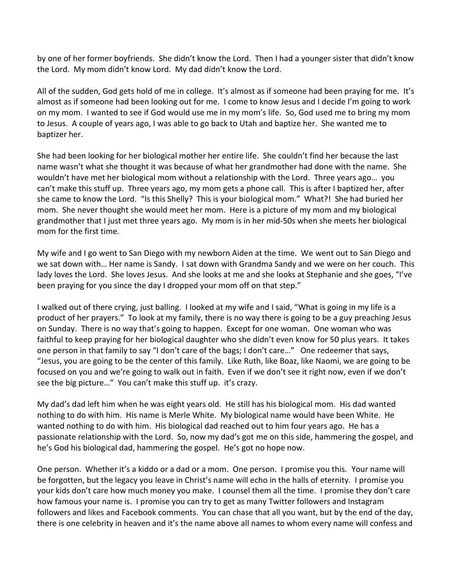by one of her former boyfriends. She didn't know the Lord. Then I had a younger sister that didn't know the Lord. My mom didn't know Lord. My dad didn't know the Lord.

All of the sudden, God gets hold of me in college. It's almost as if someone had been praying for me. It's almost as if someone had been looking out for me. I come to know Jesus and I decide I'm going to work on my mom. I wanted to see if God would use me in my mom's life. So, God used me to bring my mom to Jesus. A couple of years ago, I was able to go back to Utah and baptize her. She wanted me to baptizer her.

She had been looking for her biological mother her entire life. She couldn't find her because the last name wasn't what she thought it was because of what her grandmother had done with the name. She wouldn't have met her biological mom without a relationship with the Lord. Three years ago… you can't make this stuff up. Three years ago, my mom gets a phone call. This is after I baptized her, after she came to know the Lord. "Is this Shelly? This is your biological mom." What?! She had buried her mom. She never thought she would meet her mom. Here is a picture of my mom and my biological grandmother that I just met three years ago. My mom is in her mid-50s when she meets her biological mom for the first time.

My wife and I go went to San Diego with my newborn Aiden at the time. We went out to San Diego and we sat down with… Her name is Sandy. I sat down with Grandma Sandy and we were on her couch. This lady loves the Lord. She loves Jesus. And she looks at me and she looks at Stephanie and she goes, "I've been praying for you since the day I dropped your mom off on that step."

I walked out of there crying, just balling. I looked at my wife and I said, "What is going in my life is a product of her prayers." To look at my family, there is no way there is going to be a guy preaching Jesus on Sunday. There is no way that's going to happen. Except for one woman. One woman who was faithful to keep praying for her biological daughter who she didn't even know for 50 plus years. It takes one person in that family to say "I don't care of the bags; I don't care…" One redeemer that says, "Jesus, you are going to be the center of this family. Like Ruth, like Boaz, like Naomi, we are going to be focused on you and we're going to walk out in faith. Even if we don't see it right now, even if we don't see the big picture…" You can't make this stuff up. it's crazy.

My dad's dad left him when he was eight years old. He still has his biological mom. His dad wanted nothing to do with him. His name is Merle White. My biological name would have been White. He wanted nothing to do with him. His biological dad reached out to him four years ago. He has a passionate relationship with the Lord. So, now my dad's got me on this side, hammering the gospel, and he's God his biological dad, hammering the gospel. He's got no hope now.

One person. Whether it's a kiddo or a dad or a mom. One person. I promise you this. Your name will be forgotten, but the legacy you leave in Christ's name will echo in the halls of eternity. I promise you your kids don't care how much money you make. I counsel them all the time. I promise they don't care how famous your name is. I promise you can try to get as many Twitter followers and Instagram followers and likes and Facebook comments. You can chase that all you want, but by the end of the day, there is one celebrity in heaven and it's the name above all names to whom every name will confess and